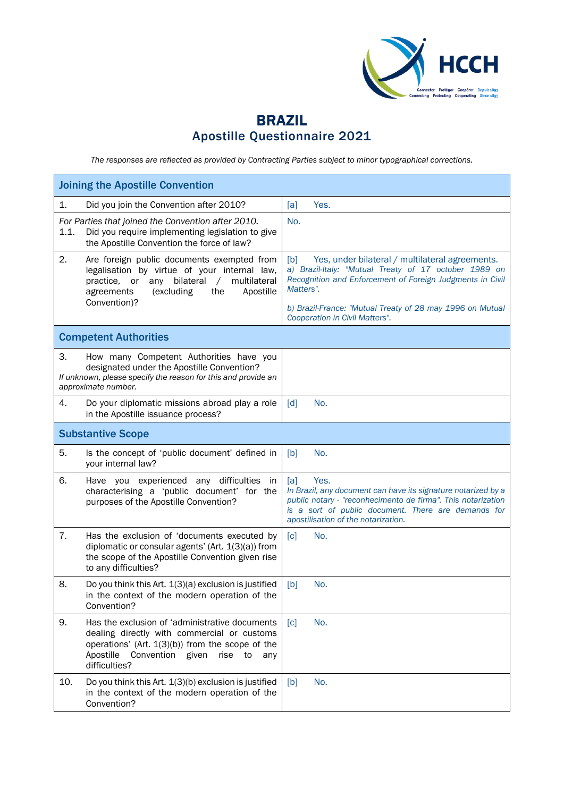

## BRAZIL Apostille Questionnaire 2021

*The responses are reflected as provided by Contracting Parties subject to minor typographical corrections.*

| <b>Joining the Apostille Convention</b>                                                                                                                                                                                               |                                                                                                                                                                                                                                                                                          |  |  |  |
|---------------------------------------------------------------------------------------------------------------------------------------------------------------------------------------------------------------------------------------|------------------------------------------------------------------------------------------------------------------------------------------------------------------------------------------------------------------------------------------------------------------------------------------|--|--|--|
| Did you join the Convention after 2010?<br>1.                                                                                                                                                                                         | Yes.<br>[a]                                                                                                                                                                                                                                                                              |  |  |  |
| For Parties that joined the Convention after 2010.<br>1.1.<br>Did you require implementing legislation to give<br>the Apostille Convention the force of law?                                                                          | No.                                                                                                                                                                                                                                                                                      |  |  |  |
| 2.<br>Are foreign public documents exempted from<br>legalisation by virtue of your internal law,<br>bilateral<br>multilateral<br>practice,<br>or<br>any<br>$\sqrt{2}$<br>agreements<br>Apostille<br>(excluding<br>the<br>Convention)? | [b]<br>Yes, under bilateral / multilateral agreements.<br>a) Brazil-Italy: "Mutual Treaty of 17 october 1989 on<br>Recognition and Enforcement of Foreign Judgments in Civil<br>Matters".<br>b) Brazil-France: "Mutual Treaty of 28 may 1996 on Mutual<br>Cooperation in Civil Matters". |  |  |  |
| <b>Competent Authorities</b>                                                                                                                                                                                                          |                                                                                                                                                                                                                                                                                          |  |  |  |
| 3.<br>How many Competent Authorities have you<br>designated under the Apostille Convention?<br>If unknown, please specify the reason for this and provide an<br>approximate number.                                                   |                                                                                                                                                                                                                                                                                          |  |  |  |
| 4.<br>Do your diplomatic missions abroad play a role<br>in the Apostille issuance process?                                                                                                                                            | $\lceil d \rceil$<br>No.                                                                                                                                                                                                                                                                 |  |  |  |
| <b>Substantive Scope</b>                                                                                                                                                                                                              |                                                                                                                                                                                                                                                                                          |  |  |  |
| 5.<br>Is the concept of 'public document' defined in<br>your internal law?                                                                                                                                                            | No.<br>[b]                                                                                                                                                                                                                                                                               |  |  |  |
| 6.<br>Have you experienced any difficulties<br>in<br>characterising a 'public document' for the<br>purposes of the Apostille Convention?                                                                                              | [a]<br>Yes.<br>In Brazil, any document can have its signature notarized by a<br>public notary - "reconhecimento de firma". This notarization<br>is a sort of public document. There are demands for<br>apostilisation of the notarization.                                               |  |  |  |
| 7.<br>Has the exclusion of 'documents executed by<br>diplomatic or consular agents' (Art. 1(3)(a)) from<br>the scope of the Apostille Convention given rise<br>to any difficulties?                                                   | [c]<br>No.                                                                                                                                                                                                                                                                               |  |  |  |
| 8.<br>Do you think this Art. 1(3)(a) exclusion is justified<br>in the context of the modern operation of the<br>Convention?                                                                                                           | No.<br>[b]                                                                                                                                                                                                                                                                               |  |  |  |
| 9.<br>Has the exclusion of 'administrative documents<br>dealing directly with commercial or customs<br>operations' (Art. 1(3)(b)) from the scope of the<br>Apostille<br>Convention given<br>rise<br>to<br>any<br>difficulties?        | No.<br>$\lceil c \rceil$                                                                                                                                                                                                                                                                 |  |  |  |
| 10.<br>Do you think this Art. 1(3)(b) exclusion is justified<br>in the context of the modern operation of the<br>Convention?                                                                                                          | No.<br>[b]                                                                                                                                                                                                                                                                               |  |  |  |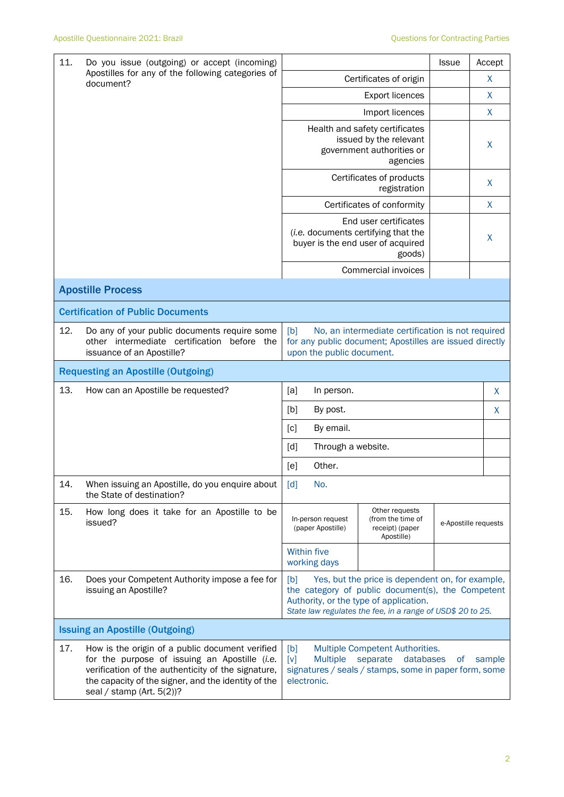| 11.                                                            | Do you issue (outgoing) or accept (incoming)                                                                                                                                                                                                  |                                                                                                                                                                                                                      |                                                                                                                |                                                                                                                   | <b>Issue</b>         |   | Accept       |
|----------------------------------------------------------------|-----------------------------------------------------------------------------------------------------------------------------------------------------------------------------------------------------------------------------------------------|----------------------------------------------------------------------------------------------------------------------------------------------------------------------------------------------------------------------|----------------------------------------------------------------------------------------------------------------|-------------------------------------------------------------------------------------------------------------------|----------------------|---|--------------|
| Apostilles for any of the following categories of<br>document? |                                                                                                                                                                                                                                               | Certificates of origin                                                                                                                                                                                               |                                                                                                                |                                                                                                                   |                      |   | X            |
|                                                                |                                                                                                                                                                                                                                               |                                                                                                                                                                                                                      |                                                                                                                |                                                                                                                   |                      | X |              |
|                                                                |                                                                                                                                                                                                                                               |                                                                                                                                                                                                                      |                                                                                                                | Import licences                                                                                                   |                      |   | X            |
|                                                                |                                                                                                                                                                                                                                               |                                                                                                                                                                                                                      |                                                                                                                | Health and safety certificates<br>issued by the relevant<br>government authorities or<br>agencies                 |                      |   | X            |
|                                                                |                                                                                                                                                                                                                                               |                                                                                                                                                                                                                      | Certificates of products                                                                                       |                                                                                                                   |                      | X |              |
|                                                                |                                                                                                                                                                                                                                               |                                                                                                                                                                                                                      |                                                                                                                | Certificates of conformity                                                                                        |                      |   | $\mathsf{X}$ |
|                                                                |                                                                                                                                                                                                                                               |                                                                                                                                                                                                                      |                                                                                                                | End user certificates<br>(i.e. documents certifying that the<br>buyer is the end user of acquired<br>goods)       |                      |   | X            |
|                                                                |                                                                                                                                                                                                                                               |                                                                                                                                                                                                                      |                                                                                                                | Commercial invoices                                                                                               |                      |   |              |
|                                                                | <b>Apostille Process</b>                                                                                                                                                                                                                      |                                                                                                                                                                                                                      |                                                                                                                |                                                                                                                   |                      |   |              |
|                                                                | <b>Certification of Public Documents</b>                                                                                                                                                                                                      |                                                                                                                                                                                                                      |                                                                                                                |                                                                                                                   |                      |   |              |
| 12.                                                            | Do any of your public documents require some<br>other intermediate certification before the<br>issuance of an Apostille?                                                                                                                      | [b]<br>No, an intermediate certification is not required<br>for any public document; Apostilles are issued directly<br>upon the public document.                                                                     |                                                                                                                |                                                                                                                   |                      |   |              |
|                                                                | <b>Requesting an Apostille (Outgoing)</b>                                                                                                                                                                                                     |                                                                                                                                                                                                                      |                                                                                                                |                                                                                                                   |                      |   |              |
| 13.                                                            | How can an Apostille be requested?                                                                                                                                                                                                            | [a]                                                                                                                                                                                                                  | In person.                                                                                                     |                                                                                                                   |                      |   | X            |
|                                                                |                                                                                                                                                                                                                                               | [b]<br>By post.<br>X                                                                                                                                                                                                 |                                                                                                                |                                                                                                                   |                      |   |              |
|                                                                |                                                                                                                                                                                                                                               | By email.<br>[c]                                                                                                                                                                                                     |                                                                                                                |                                                                                                                   |                      |   |              |
|                                                                |                                                                                                                                                                                                                                               | [d]                                                                                                                                                                                                                  | Through a website.                                                                                             |                                                                                                                   |                      |   |              |
|                                                                |                                                                                                                                                                                                                                               | [e]                                                                                                                                                                                                                  | Other.                                                                                                         |                                                                                                                   |                      |   |              |
| 14.                                                            | When issuing an Apostille, do you enquire about<br>the State of destination?                                                                                                                                                                  | $\lceil d \rceil$                                                                                                                                                                                                    | No.                                                                                                            |                                                                                                                   |                      |   |              |
| 15.                                                            | How long does it take for an Apostille to be<br>issued?                                                                                                                                                                                       |                                                                                                                                                                                                                      | Other requests<br>In-person request<br>(from the time of<br>receipt) (paper<br>(paper Apostille)<br>Apostille) |                                                                                                                   | e-Apostille requests |   |              |
|                                                                |                                                                                                                                                                                                                                               |                                                                                                                                                                                                                      | <b>Within five</b><br>working days                                                                             |                                                                                                                   |                      |   |              |
| 16.                                                            | Does your Competent Authority impose a fee for<br>issuing an Apostille?                                                                                                                                                                       | Yes, but the price is dependent on, for example,<br>[b]<br>the category of public document(s), the Competent<br>Authority, or the type of application.<br>State law regulates the fee, in a range of USD\$ 20 to 25. |                                                                                                                |                                                                                                                   |                      |   |              |
|                                                                | <b>Issuing an Apostille (Outgoing)</b>                                                                                                                                                                                                        |                                                                                                                                                                                                                      |                                                                                                                |                                                                                                                   |                      |   |              |
| 17.                                                            | How is the origin of a public document verified<br>for the purpose of issuing an Apostille (i.e.<br>verification of the authenticity of the signature,<br>the capacity of the signer, and the identity of the<br>seal / stamp (Art. $5(2)$ )? | [b]<br>[v]                                                                                                                                                                                                           | <b>Multiple</b><br>electronic.                                                                                 | Multiple Competent Authorities.<br>separate<br>databases<br>signatures / seals / stamps, some in paper form, some | 0f                   |   | sample       |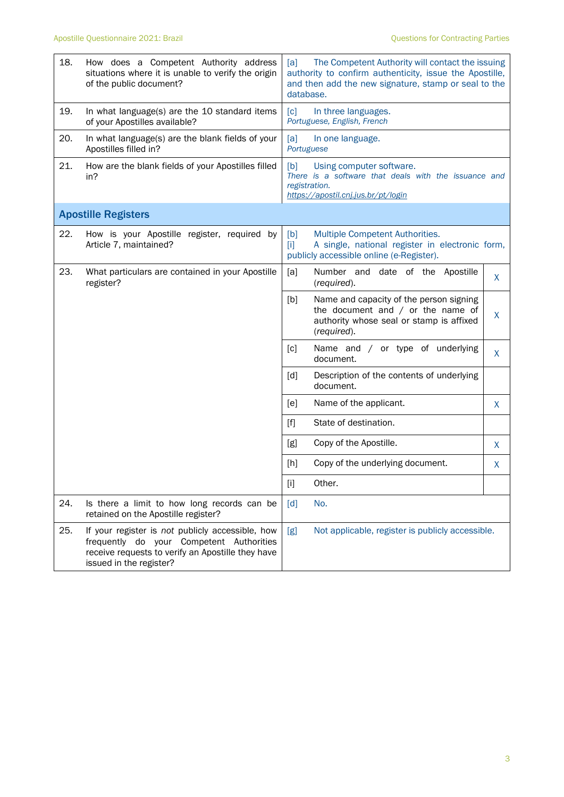| 18. | How does a Competent Authority address<br>situations where it is unable to verify the origin<br>of the public document?                                                      | The Competent Authority will contact the issuing<br>[a]<br>authority to confirm authenticity, issue the Apostille,<br>and then add the new signature, stamp or seal to the<br>database. |    |  |  |
|-----|------------------------------------------------------------------------------------------------------------------------------------------------------------------------------|-----------------------------------------------------------------------------------------------------------------------------------------------------------------------------------------|----|--|--|
| 19. | In what language(s) are the 10 standard items<br>of your Apostilles available?                                                                                               | [c]<br>In three languages.<br>Portuguese, English, French                                                                                                                               |    |  |  |
| 20. | In what language(s) are the blank fields of your<br>Apostilles filled in?                                                                                                    | [a]<br>In one language.<br>Portuguese                                                                                                                                                   |    |  |  |
| 21. | How are the blank fields of your Apostilles filled<br>in?                                                                                                                    | [b]<br>Using computer software.<br>There is a software that deals with the issuance and<br>registration.<br>https://apostil.cnj.jus.br/pt/login                                         |    |  |  |
|     | <b>Apostille Registers</b>                                                                                                                                                   |                                                                                                                                                                                         |    |  |  |
| 22. | How is your Apostille register, required by<br>Article 7, maintained?                                                                                                        | [b]<br>Multiple Competent Authorities.<br>A single, national register in electronic form,<br>$[1]$<br>publicly accessible online (e-Register).                                          |    |  |  |
| 23. | What particulars are contained in your Apostille<br>register?                                                                                                                | [a]<br>Number and date of the Apostille<br>(required).                                                                                                                                  | X  |  |  |
|     |                                                                                                                                                                              | [b]<br>Name and capacity of the person signing<br>the document and $/$ or the name of<br>authority whose seal or stamp is affixed<br>(required).                                        | X  |  |  |
|     |                                                                                                                                                                              | Name and / or type of underlying<br>[c]<br>document.                                                                                                                                    | X. |  |  |
|     |                                                                                                                                                                              | Description of the contents of underlying<br>[d]<br>document.                                                                                                                           |    |  |  |
|     |                                                                                                                                                                              | Name of the applicant.<br>[e]                                                                                                                                                           | X  |  |  |
|     |                                                                                                                                                                              | State of destination.<br>$[f]$                                                                                                                                                          |    |  |  |
|     |                                                                                                                                                                              | [g]<br>Copy of the Apostille.                                                                                                                                                           | X  |  |  |
|     |                                                                                                                                                                              | Copy of the underlying document.<br>[h]                                                                                                                                                 | X  |  |  |
|     |                                                                                                                                                                              | $[1]$<br>Other.                                                                                                                                                                         |    |  |  |
| 24. | Is there a limit to how long records can be<br>retained on the Apostille register?                                                                                           | [d]<br>No.                                                                                                                                                                              |    |  |  |
| 25. | If your register is not publicly accessible, how<br>frequently do your Competent Authorities<br>receive requests to verify an Apostille they have<br>issued in the register? | Not applicable, register is publicly accessible.<br>[g]                                                                                                                                 |    |  |  |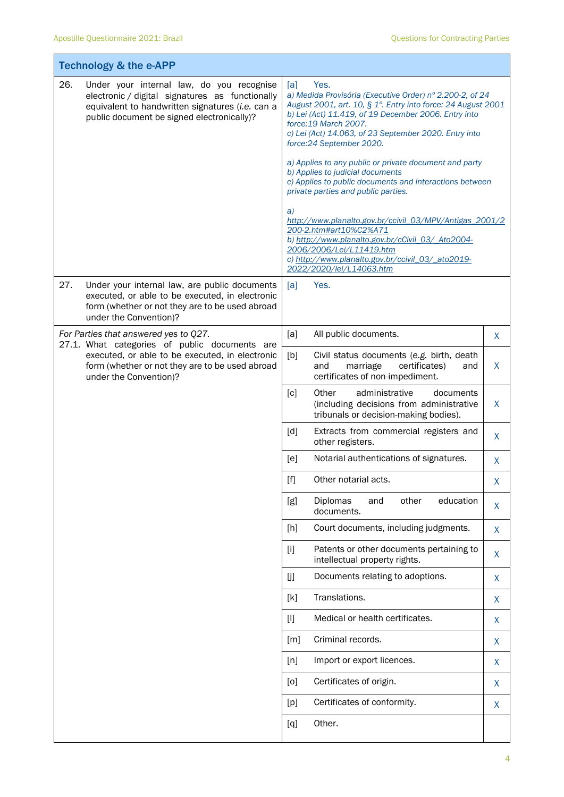|     | <b>Technology &amp; the e-APP</b>                                                                                                                                                              |                                                                                                                                                                                                                                                                                                                |              |  |  |
|-----|------------------------------------------------------------------------------------------------------------------------------------------------------------------------------------------------|----------------------------------------------------------------------------------------------------------------------------------------------------------------------------------------------------------------------------------------------------------------------------------------------------------------|--------------|--|--|
| 26. | Under your internal law, do you recognise<br>electronic / digital signatures as functionally<br>equivalent to handwritten signatures (i.e. can a<br>public document be signed electronically)? | [a]<br>Yes.<br>a) Medida Provisória (Executive Order) nº 2.200-2, of 24<br>August 2001, art. 10, § 1°. Entry into force: 24 August 2001<br>b) Lei (Act) 11.419, of 19 December 2006. Entry into<br>force: 19 March 2007.<br>c) Lei (Act) 14.063, of 23 September 2020. Entry into<br>force: 24 September 2020. |              |  |  |
|     |                                                                                                                                                                                                | a) Applies to any public or private document and party<br>b) Applies to judicial documents<br>c) Applies to public documents and interactions between<br>private parties and public parties.                                                                                                                   |              |  |  |
|     |                                                                                                                                                                                                | a)<br>http://www.planalto.gov.br/ccivil 03/MPV/Antigas 2001/2<br>200-2.htm#art10%C2%A71<br>b) http://www.planalto.gov.br/cCivil_03/_Ato2004-<br>2006/2006/Lei/L11419.htm<br>c) http://www.planalto.gov.br/ccivil_03/_ato2019-<br>2022/2020/lei/L14063.htm                                                      |              |  |  |
| 27. | Under your internal law, are public documents<br>executed, or able to be executed, in electronic<br>form (whether or not they are to be used abroad<br>under the Convention)?                  | Yes.<br>[a]                                                                                                                                                                                                                                                                                                    |              |  |  |
|     | For Parties that answered yes to Q27.<br>27.1. What categories of public documents are                                                                                                         | [a]<br>All public documents.                                                                                                                                                                                                                                                                                   | X            |  |  |
|     | executed, or able to be executed, in electronic<br>form (whether or not they are to be used abroad<br>under the Convention)?                                                                   | [b]<br>Civil status documents (e.g. birth, death<br>marriage<br>certificates)<br>and<br>and<br>certificates of non-impediment.                                                                                                                                                                                 | X            |  |  |
|     |                                                                                                                                                                                                | Other<br>administrative<br>[c]<br>documents<br>(including decisions from administrative<br>tribunals or decision-making bodies).                                                                                                                                                                               | X            |  |  |
|     |                                                                                                                                                                                                | [d]<br>Extracts from commercial registers and<br>other registers.                                                                                                                                                                                                                                              | X            |  |  |
|     |                                                                                                                                                                                                | Notarial authentications of signatures.<br>[e]                                                                                                                                                                                                                                                                 | X            |  |  |
|     |                                                                                                                                                                                                | $[f]$<br>Other notarial acts.                                                                                                                                                                                                                                                                                  | X            |  |  |
|     |                                                                                                                                                                                                | Diplomas<br>education<br>other<br>[g]<br>and<br>documents.                                                                                                                                                                                                                                                     | X            |  |  |
|     |                                                                                                                                                                                                | [h]<br>Court documents, including judgments.                                                                                                                                                                                                                                                                   | X            |  |  |
|     |                                                                                                                                                                                                | Patents or other documents pertaining to<br>$[1]$<br>intellectual property rights.                                                                                                                                                                                                                             | X            |  |  |
|     |                                                                                                                                                                                                | Documents relating to adoptions.<br>[j]                                                                                                                                                                                                                                                                        | X            |  |  |
|     |                                                                                                                                                                                                | Translations.<br>[k]                                                                                                                                                                                                                                                                                           | X            |  |  |
|     |                                                                                                                                                                                                | Medical or health certificates.<br>$[1]$                                                                                                                                                                                                                                                                       | $\mathsf{X}$ |  |  |
|     |                                                                                                                                                                                                | Criminal records.<br>[m]                                                                                                                                                                                                                                                                                       | X            |  |  |
|     |                                                                                                                                                                                                | [n]<br>Import or export licences.                                                                                                                                                                                                                                                                              | X            |  |  |
|     |                                                                                                                                                                                                | Certificates of origin.<br>[0]                                                                                                                                                                                                                                                                                 | X            |  |  |
|     |                                                                                                                                                                                                | Certificates of conformity.<br>[p]                                                                                                                                                                                                                                                                             | X            |  |  |
|     |                                                                                                                                                                                                | Other.<br>[q]                                                                                                                                                                                                                                                                                                  |              |  |  |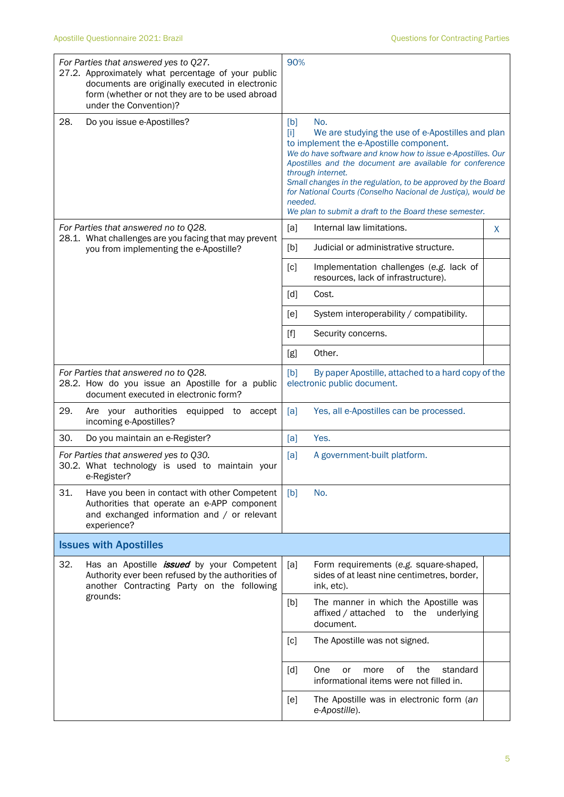| under the Convention)?                                                                                                            | For Parties that answered yes to Q27.<br>27.2. Approximately what percentage of your public<br>documents are originally executed in electronic<br>form (whether or not they are to be used abroad | 90%                     |                                                                                                                                                                                                                                                                                                                                                                                                                                              |    |
|-----------------------------------------------------------------------------------------------------------------------------------|---------------------------------------------------------------------------------------------------------------------------------------------------------------------------------------------------|-------------------------|----------------------------------------------------------------------------------------------------------------------------------------------------------------------------------------------------------------------------------------------------------------------------------------------------------------------------------------------------------------------------------------------------------------------------------------------|----|
| 28.                                                                                                                               | Do you issue e-Apostilles?                                                                                                                                                                        | [b]<br>$[1]$<br>needed. | No.<br>We are studying the use of e-Apostilles and plan<br>to implement the e-Apostille component.<br>We do have software and know how to issue e-Apostilles. Our<br>Apostilles and the document are available for conference<br>through internet.<br>Small changes in the regulation, to be approved by the Board<br>for National Courts (Conselho Nacional de Justiça), would be<br>We plan to submit a draft to the Board these semester. |    |
| For Parties that answered no to Q28.                                                                                              |                                                                                                                                                                                                   | [a]                     | Internal law limitations.                                                                                                                                                                                                                                                                                                                                                                                                                    | X. |
|                                                                                                                                   | 28.1. What challenges are you facing that may prevent<br>you from implementing the e-Apostille?                                                                                                   | [b]                     | Judicial or administrative structure.                                                                                                                                                                                                                                                                                                                                                                                                        |    |
|                                                                                                                                   |                                                                                                                                                                                                   | [c]                     | Implementation challenges (e.g. lack of<br>resources, lack of infrastructure).                                                                                                                                                                                                                                                                                                                                                               |    |
|                                                                                                                                   |                                                                                                                                                                                                   | [d]                     | Cost.                                                                                                                                                                                                                                                                                                                                                                                                                                        |    |
|                                                                                                                                   |                                                                                                                                                                                                   | [e]                     | System interoperability / compatibility.                                                                                                                                                                                                                                                                                                                                                                                                     |    |
|                                                                                                                                   |                                                                                                                                                                                                   | $[f]$                   | Security concerns.                                                                                                                                                                                                                                                                                                                                                                                                                           |    |
|                                                                                                                                   |                                                                                                                                                                                                   | [g]                     | Other.                                                                                                                                                                                                                                                                                                                                                                                                                                       |    |
| For Parties that answered no to Q28.<br>28.2. How do you issue an Apostille for a public<br>document executed in electronic form? |                                                                                                                                                                                                   | [b]                     | By paper Apostille, attached to a hard copy of the<br>electronic public document.                                                                                                                                                                                                                                                                                                                                                            |    |
| 29.<br>Are your authorities<br>incoming e-Apostilles?                                                                             | equipped to<br>accept                                                                                                                                                                             | [a]                     | Yes, all e-Apostilles can be processed.                                                                                                                                                                                                                                                                                                                                                                                                      |    |
| 30.                                                                                                                               | Do you maintain an e-Register?                                                                                                                                                                    | [a]                     | Yes.                                                                                                                                                                                                                                                                                                                                                                                                                                         |    |
| e-Register?                                                                                                                       | For Parties that answered yes to Q30.<br>30.2. What technology is used to maintain your                                                                                                           | [a]                     | A government-built platform.                                                                                                                                                                                                                                                                                                                                                                                                                 |    |
| 31.<br>experience?                                                                                                                | Have you been in contact with other Competent<br>Authorities that operate an e-APP component<br>and exchanged information and / or relevant                                                       | [b]                     | No.                                                                                                                                                                                                                                                                                                                                                                                                                                          |    |
| <b>Issues with Apostilles</b>                                                                                                     |                                                                                                                                                                                                   |                         |                                                                                                                                                                                                                                                                                                                                                                                                                                              |    |
| 32.                                                                                                                               | Has an Apostille <i>issued</i> by your Competent<br>Authority ever been refused by the authorities of<br>another Contracting Party on the following<br>grounds:                                   | [a]                     | Form requirements (e.g. square-shaped,<br>sides of at least nine centimetres, border,<br>ink, etc).                                                                                                                                                                                                                                                                                                                                          |    |
|                                                                                                                                   |                                                                                                                                                                                                   | [b]                     | The manner in which the Apostille was<br>affixed / attached to the underlying<br>document.                                                                                                                                                                                                                                                                                                                                                   |    |
|                                                                                                                                   |                                                                                                                                                                                                   | [c]                     | The Apostille was not signed.                                                                                                                                                                                                                                                                                                                                                                                                                |    |
|                                                                                                                                   |                                                                                                                                                                                                   | [d]                     | 0f<br>the<br>standard<br>One<br>or<br>more<br>informational items were not filled in.                                                                                                                                                                                                                                                                                                                                                        |    |
|                                                                                                                                   |                                                                                                                                                                                                   | [e]                     | The Apostille was in electronic form (an<br>e-Apostille).                                                                                                                                                                                                                                                                                                                                                                                    |    |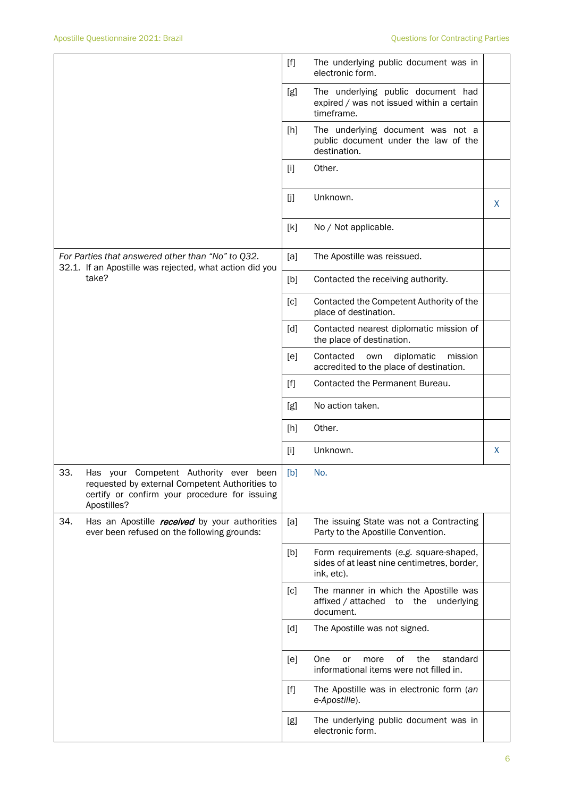|                                                                                                                                                               |      | $[f]$             | The underlying public document was in<br>electronic form.                                           |    |
|---------------------------------------------------------------------------------------------------------------------------------------------------------------|------|-------------------|-----------------------------------------------------------------------------------------------------|----|
|                                                                                                                                                               |      | [g]               | The underlying public document had<br>expired / was not issued within a certain<br>timeframe.       |    |
|                                                                                                                                                               |      | [h]               | The underlying document was not a<br>public document under the law of the<br>destination.           |    |
|                                                                                                                                                               |      | $[1]$             | Other.                                                                                              |    |
|                                                                                                                                                               |      | $[$ j]            | Unknown.                                                                                            | X. |
|                                                                                                                                                               |      | [k]               | No / Not applicable.                                                                                |    |
| For Parties that answered other than "No" to Q32.<br>32.1. If an Apostille was rejected, what action did you                                                  |      | [a]               | The Apostille was reissued.                                                                         |    |
| take?                                                                                                                                                         |      | [b]               | Contacted the receiving authority.                                                                  |    |
|                                                                                                                                                               |      | [c]               | Contacted the Competent Authority of the<br>place of destination.                                   |    |
|                                                                                                                                                               |      | $\lceil d \rceil$ | Contacted nearest diplomatic mission of<br>the place of destination.                                |    |
|                                                                                                                                                               |      | [e]               | diplomatic<br>mission<br>Contacted<br>own<br>accredited to the place of destination.                |    |
|                                                                                                                                                               |      | [f]               | Contacted the Permanent Bureau.                                                                     |    |
|                                                                                                                                                               |      | [g]               | No action taken.                                                                                    |    |
|                                                                                                                                                               |      | [h]               | Other.                                                                                              |    |
|                                                                                                                                                               |      | $[1]$             | Unknown.                                                                                            | X. |
| 33.<br>Has your<br>Competent Authority ever<br>requested by external Competent Authorities to<br>certify or confirm your procedure for issuing<br>Apostilles? | been | [b]               | No.                                                                                                 |    |
| 34.<br>Has an Apostille <i>received</i> by your authorities<br>ever been refused on the following grounds:                                                    |      | [a]               | The issuing State was not a Contracting<br>Party to the Apostille Convention.                       |    |
|                                                                                                                                                               |      | [b]               | Form requirements (e.g. square-shaped,<br>sides of at least nine centimetres, border,<br>ink, etc). |    |
|                                                                                                                                                               |      | [c]               | The manner in which the Apostille was<br>affixed / attached to the underlying<br>document.          |    |
|                                                                                                                                                               |      | [d]               | The Apostille was not signed.                                                                       |    |
|                                                                                                                                                               |      | [e]               | of<br>the<br>standard<br>One<br>or<br>more<br>informational items were not filled in.               |    |
|                                                                                                                                                               |      | $[f]$             | The Apostille was in electronic form (an<br>e-Apostille).                                           |    |
|                                                                                                                                                               |      | [g]               | The underlying public document was in<br>electronic form.                                           |    |